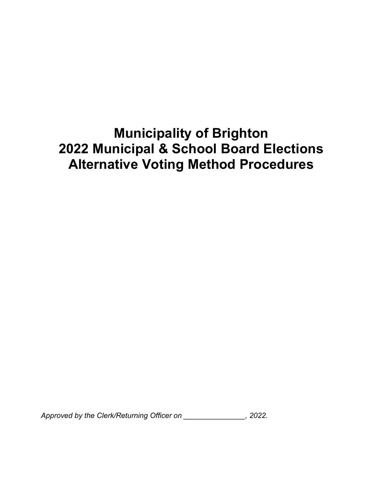# **Municipality of Brighton 2022 Municipal & School Board Elections Alternative Voting Method Procedures**

*Approved by the Clerk/Returning Officer on \_\_\_\_\_\_\_\_\_\_\_\_\_\_\_, 2022.*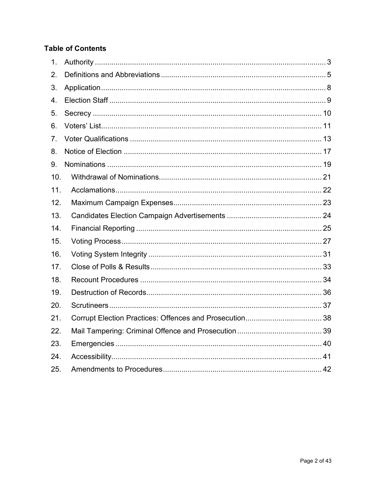#### **Table of Contents**

| 1 <sub>1</sub> |  |
|----------------|--|
| 2.             |  |
| 3.             |  |
| 4.             |  |
| 5.             |  |
| 6.             |  |
| 7.             |  |
| 8.             |  |
| 9.             |  |
| 10.            |  |
| 11.            |  |
| 12.            |  |
| 13.            |  |
| 14.            |  |
| 15.            |  |
| 16.            |  |
| 17.            |  |
| 18.            |  |
| 19.            |  |
| 20.            |  |
| 21.            |  |
| 22.            |  |
| 23.            |  |
| 24.            |  |
| 25.            |  |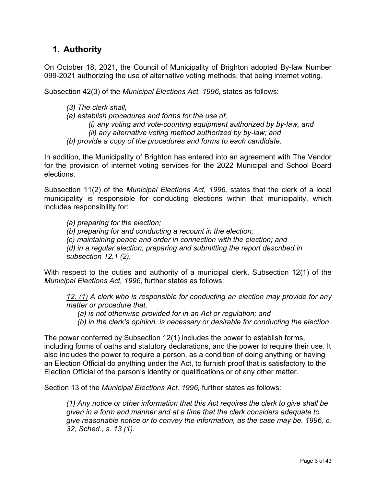# <span id="page-2-0"></span>**1. Authority**

On October 18, 2021, the Council of Municipality of Brighton adopted By-law Number 099-2021 authorizing the use of alternative voting methods, that being internet voting.

Subsection 42(3) of the *Municipal Elections Act, 1996,* states as follows:

- *[\(3\)](http://www.e-laws.gov.on.ca/html/statutes/french/elaws_statutes_96m32_f.htm#s42s3) The clerk shall,*
- *(a) establish procedures and forms for the use of,*

*(i) any voting and vote-counting equipment authorized by by-law, and (ii) any alternative voting method authorized by by-law; and*

*(b) provide a copy of the procedures and forms to each candidate.*

In addition, the Municipality of Brighton has entered into an agreement with The Vendor for the provision of internet voting services for the 2022 Municipal and School Board elections.

Subsection 11(2) of the *Municipal Elections Act, 1996,* states that the clerk of a local municipality is responsible for conducting elections within that municipality, which includes responsibility for:

*(a) preparing for the election;*

*(b) preparing for and conducting a recount in the election;*

*(c) maintaining peace and order in connection with the election; and*

*(d) in a regular election, preparing and submitting the report described in subsection 12.1 (2).*

With respect to the duties and authority of a municipal clerk, Subsection 12(1) of the *Municipal Elections Act, 1996,* further states as follows:

*[12.](http://www.e-laws.gov.on.ca/html/statutes/french/elaws_statutes_96m32_f.htm#s12s1) [\(1\)](http://www.e-laws.gov.on.ca/html/statutes/french/elaws_statutes_96m32_f.htm#s12s1) A clerk who is responsible for conducting an election may provide for any matter or procedure that,*

- *(a) is not otherwise provided for in an Act or regulation; and*
- *(b) in the clerk's opinion, is necessary or desirable for conducting the election.*

The power conferred by Subsection 12(1) includes the power to establish forms, including forms of oaths and statutory declarations, and the power to require their use. It also includes the power to require a person, as a condition of doing anything or having an Election Official do anything under the Act, to furnish proof that is satisfactory to the Election Official of the person's identity or qualifications or of any other matter.

Section 13 of the *Municipal Elections Act, 1996,* further states as follows:

*[\(1\)](http://www.e-laws.gov.on.ca/html/statutes/french/elaws_statutes_96m32_f.htm#s13s1) Any notice or other information that this Act requires the clerk to give shall be given in a form and manner and at a time that the clerk considers adequate to give reasonable notice or to convey the information, as the case may be. 1996, c. 32, Sched., s. 13 (1).*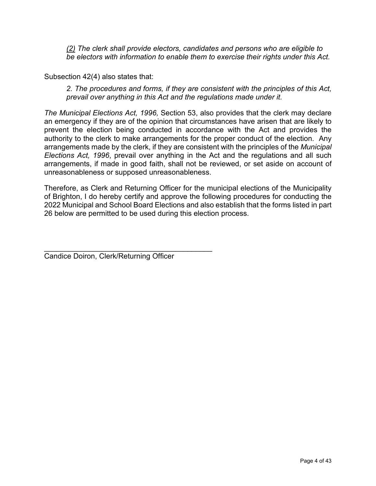*[\(2\)](http://www.e-laws.gov.on.ca/html/statutes/french/elaws_statutes_96m32_f.htm#s13s2) The clerk shall provide electors, candidates and persons who are eligible to be electors with information to enable them to exercise their rights under this Act.*

Subsection 42(4) also states that:

*2. The procedures and forms, if they are consistent with the principles of this Act, prevail over anything in this Act and the regulations made under it.*

*The Municipal Elections Act, 1996,* Section 53, also provides that the clerk may declare an emergency if they are of the opinion that circumstances have arisen that are likely to prevent the election being conducted in accordance with the Act and provides the authority to the clerk to make arrangements for the proper conduct of the election. Any arrangements made by the clerk, if they are consistent with the principles of the *Municipal Elections Act, 1996*, prevail over anything in the Act and the regulations and all such arrangements, if made in good faith, shall not be reviewed, or set aside on account of unreasonableness or supposed unreasonableness.

Therefore, as Clerk and Returning Officer for the municipal elections of the Municipality of Brighton, I do hereby certify and approve the following procedures for conducting the 2022 Municipal and School Board Elections and also establish that the forms listed in part 26 below are permitted to be used during this election process.

\_\_\_\_\_\_\_\_\_\_\_\_\_\_\_\_\_\_\_\_\_\_\_\_\_\_\_\_\_\_\_\_\_\_\_\_\_\_\_\_\_

Candice Doiron, Clerk/Returning Officer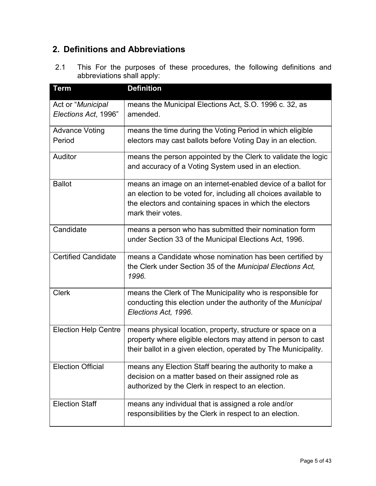# <span id="page-4-0"></span>**2. Definitions and Abbreviations**

2.1 This For the purposes of these procedures, the following definitions and abbreviations shall apply:

| <b>Term</b>                               | <b>Definition</b>                                                                                                                                                                                                |
|-------------------------------------------|------------------------------------------------------------------------------------------------------------------------------------------------------------------------------------------------------------------|
| Act or "Municipal<br>Elections Act, 1996" | means the Municipal Elections Act, S.O. 1996 c. 32, as<br>amended.                                                                                                                                               |
| <b>Advance Voting</b><br>Period           | means the time during the Voting Period in which eligible<br>electors may cast ballots before Voting Day in an election.                                                                                         |
| Auditor                                   | means the person appointed by the Clerk to validate the logic<br>and accuracy of a Voting System used in an election.                                                                                            |
| <b>Ballot</b>                             | means an image on an internet-enabled device of a ballot for<br>an election to be voted for, including all choices available to<br>the electors and containing spaces in which the electors<br>mark their votes. |
| Candidate                                 | means a person who has submitted their nomination form<br>under Section 33 of the Municipal Elections Act, 1996.                                                                                                 |
| <b>Certified Candidate</b>                | means a Candidate whose nomination has been certified by<br>the Clerk under Section 35 of the Municipal Elections Act,<br>1996.                                                                                  |
| <b>Clerk</b>                              | means the Clerk of The Municipality who is responsible for<br>conducting this election under the authority of the Municipal<br>Elections Act, 1996.                                                              |
| <b>Election Help Centre</b>               | means physical location, property, structure or space on a<br>property where eligible electors may attend in person to cast<br>their ballot in a given election, operated by The Municipality.                   |
| <b>Election Official</b>                  | means any Election Staff bearing the authority to make a<br>decision on a matter based on their assigned role as<br>authorized by the Clerk in respect to an election.                                           |
| <b>Election Staff</b>                     | means any individual that is assigned a role and/or<br>responsibilities by the Clerk in respect to an election.                                                                                                  |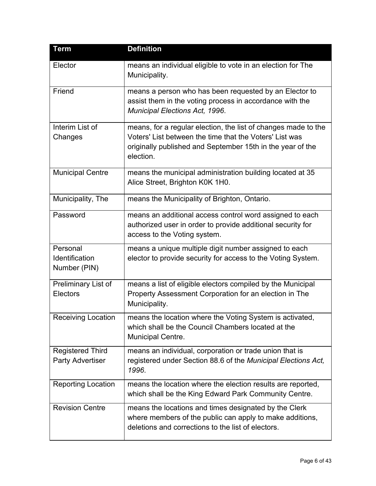| <b>Term</b>                                 | <b>Definition</b>                                                                                                                                                                                    |
|---------------------------------------------|------------------------------------------------------------------------------------------------------------------------------------------------------------------------------------------------------|
| Elector                                     | means an individual eligible to vote in an election for The<br>Municipality.                                                                                                                         |
| Friend                                      | means a person who has been requested by an Elector to<br>assist them in the voting process in accordance with the<br>Municipal Elections Act, 1996.                                                 |
| Interim List of<br>Changes                  | means, for a regular election, the list of changes made to the<br>Voters' List between the time that the Voters' List was<br>originally published and September 15th in the year of the<br>election. |
| <b>Municipal Centre</b>                     | means the municipal administration building located at 35<br>Alice Street, Brighton K0K 1H0.                                                                                                         |
| Municipality, The                           | means the Municipality of Brighton, Ontario.                                                                                                                                                         |
| Password                                    | means an additional access control word assigned to each<br>authorized user in order to provide additional security for<br>access to the Voting system.                                              |
| Personal<br>Identification<br>Number (PIN)  | means a unique multiple digit number assigned to each<br>elector to provide security for access to the Voting System.                                                                                |
| Preliminary List of<br><b>Electors</b>      | means a list of eligible electors compiled by the Municipal<br>Property Assessment Corporation for an election in The<br>Municipality.                                                               |
| <b>Receiving Location</b>                   | means the location where the Voting System is activated,<br>which shall be the Council Chambers located at the<br>Municipal Centre.                                                                  |
| <b>Registered Third</b><br>Party Advertiser | means an individual, corporation or trade union that is<br>registered under Section 88.6 of the Municipal Elections Act,<br>1996.                                                                    |
| <b>Reporting Location</b>                   | means the location where the election results are reported,<br>which shall be the King Edward Park Community Centre.                                                                                 |
| <b>Revision Centre</b>                      | means the locations and times designated by the Clerk<br>where members of the public can apply to make additions,<br>deletions and corrections to the list of electors.                              |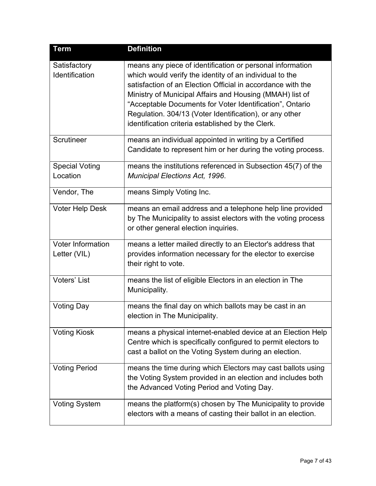| <b>Term</b>                              | <b>Definition</b>                                                                                                                                                                                                                                                                                                                                                                                                           |
|------------------------------------------|-----------------------------------------------------------------------------------------------------------------------------------------------------------------------------------------------------------------------------------------------------------------------------------------------------------------------------------------------------------------------------------------------------------------------------|
| Satisfactory<br>Identification           | means any piece of identification or personal information<br>which would verify the identity of an individual to the<br>satisfaction of an Election Official in accordance with the<br>Ministry of Municipal Affairs and Housing (MMAH) list of<br>"Acceptable Documents for Voter Identification", Ontario<br>Regulation. 304/13 (Voter Identification), or any other<br>identification criteria established by the Clerk. |
| Scrutineer                               | means an individual appointed in writing by a Certified<br>Candidate to represent him or her during the voting process.                                                                                                                                                                                                                                                                                                     |
| <b>Special Voting</b><br>Location        | means the institutions referenced in Subsection 45(7) of the<br><b>Municipal Elections Act, 1996.</b>                                                                                                                                                                                                                                                                                                                       |
| Vendor, The                              | means Simply Voting Inc.                                                                                                                                                                                                                                                                                                                                                                                                    |
| <b>Voter Help Desk</b>                   | means an email address and a telephone help line provided<br>by The Municipality to assist electors with the voting process<br>or other general election inquiries.                                                                                                                                                                                                                                                         |
| <b>Voter Information</b><br>Letter (VIL) | means a letter mailed directly to an Elector's address that<br>provides information necessary for the elector to exercise<br>their right to vote.                                                                                                                                                                                                                                                                           |
| <b>Voters' List</b>                      | means the list of eligible Electors in an election in The<br>Municipality.                                                                                                                                                                                                                                                                                                                                                  |
| <b>Voting Day</b>                        | means the final day on which ballots may be cast in an<br>election in The Municipality.                                                                                                                                                                                                                                                                                                                                     |
| <b>Voting Kiosk</b>                      | means a physical internet-enabled device at an Election Help<br>Centre which is specifically configured to permit electors to<br>cast a ballot on the Voting System during an election.                                                                                                                                                                                                                                     |
| <b>Voting Period</b>                     | means the time during which Electors may cast ballots using<br>the Voting System provided in an election and includes both<br>the Advanced Voting Period and Voting Day.                                                                                                                                                                                                                                                    |
| <b>Voting System</b>                     | means the platform(s) chosen by The Municipality to provide<br>electors with a means of casting their ballot in an election.                                                                                                                                                                                                                                                                                                |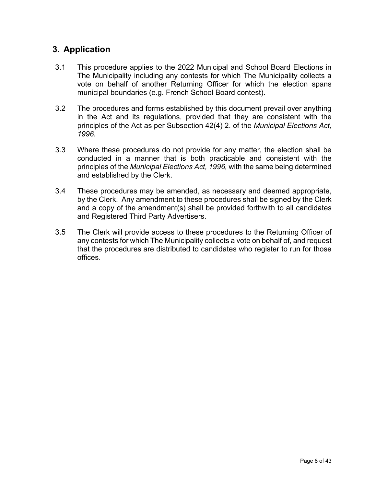# <span id="page-7-0"></span>**3. Application**

- 3.1 This procedure applies to the 2022 Municipal and School Board Elections in The Municipality including any contests for which The Municipality collects a vote on behalf of another Returning Officer for which the election spans municipal boundaries (e.g. French School Board contest).
- 3.2 The procedures and forms established by this document prevail over anything in the Act and its regulations, provided that they are consistent with the principles of the Act as per Subsection 42(4) 2. of the *Municipal Elections Act, 1996.*
- 3.3 Where these procedures do not provide for any matter, the election shall be conducted in a manner that is both practicable and consistent with the principles of the *Municipal Elections Act, 1996,* with the same being determined and established by the Clerk.
- 3.4 These procedures may be amended, as necessary and deemed appropriate, by the Clerk. Any amendment to these procedures shall be signed by the Clerk and a copy of the amendment(s) shall be provided forthwith to all candidates and Registered Third Party Advertisers.
- 3.5 The Clerk will provide access to these procedures to the Returning Officer of any contests for which The Municipality collects a vote on behalf of, and request that the procedures are distributed to candidates who register to run for those offices.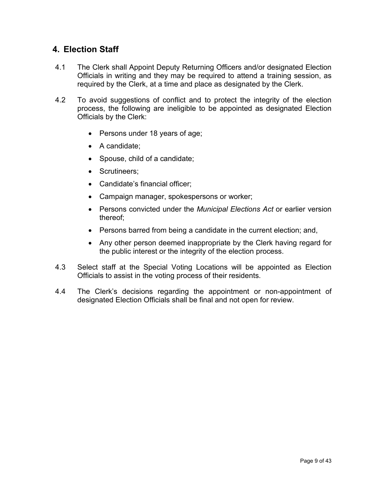### <span id="page-8-0"></span>**4. Election Staff**

- 4.1 The Clerk shall Appoint Deputy Returning Officers and/or designated Election Officials in writing and they may be required to attend a training session, as required by the Clerk, at a time and place as designated by the Clerk.
- 4.2 To avoid suggestions of conflict and to protect the integrity of the election process, the following are ineligible to be appointed as designated Election Officials by the Clerk:
	- Persons under 18 years of age;
	- A candidate;
	- Spouse, child of a candidate;
	- Scrutineers;
	- Candidate's financial officer;
	- Campaign manager, spokespersons or worker;
	- Persons convicted under the *Municipal Elections Act* or earlier version thereof;
	- Persons barred from being a candidate in the current election; and,
	- Any other person deemed inappropriate by the Clerk having regard for the public interest or the integrity of the election process.
- 4.3 Select staff at the Special Voting Locations will be appointed as Election Officials to assist in the voting process of their residents.
- 4.4 The Clerk's decisions regarding the appointment or non-appointment of designated Election Officials shall be final and not open for review.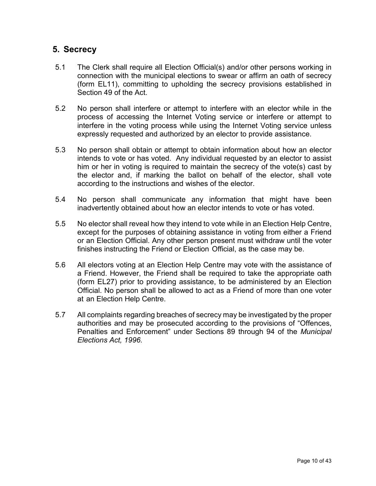### <span id="page-9-0"></span>**5. Secrecy**

- 5.1 The Clerk shall require all Election Official(s) and/or other persons working in connection with the municipal elections to swear or affirm an oath of secrecy (form EL11), committing to upholding the secrecy provisions established in Section 49 of the Act.
- 5.2 No person shall interfere or attempt to interfere with an elector while in the process of accessing the Internet Voting service or interfere or attempt to interfere in the voting process while using the Internet Voting service unless expressly requested and authorized by an elector to provide assistance.
- 5.3 No person shall obtain or attempt to obtain information about how an elector intends to vote or has voted. Any individual requested by an elector to assist him or her in voting is required to maintain the secrecy of the vote(s) cast by the elector and, if marking the ballot on behalf of the elector, shall vote according to the instructions and wishes of the elector.
- 5.4 No person shall communicate any information that might have been inadvertently obtained about how an elector intends to vote or has voted.
- 5.5 No elector shall reveal how they intend to vote while in an Election Help Centre, except for the purposes of obtaining assistance in voting from either a Friend or an Election Official. Any other person present must withdraw until the voter finishes instructing the Friend or Election Official, as the case may be.
- 5.6 All electors voting at an Election Help Centre may vote with the assistance of a Friend. However, the Friend shall be required to take the appropriate oath (form EL27) prior to providing assistance, to be administered by an Election Official. No person shall be allowed to act as a Friend of more than one voter at an Election Help Centre.
- 5.7 All complaints regarding breaches of secrecy may be investigated by the proper authorities and may be prosecuted according to the provisions of "Offences, Penalties and Enforcement" under Sections 89 through 94 of the *Municipal Elections Act, 1996.*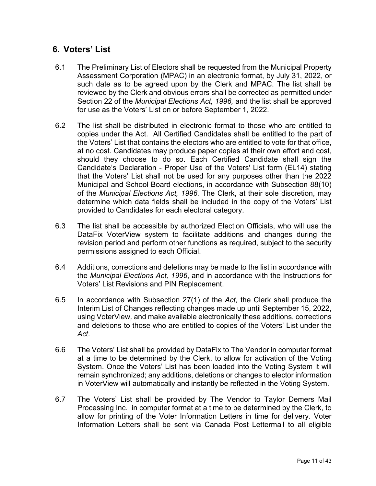# <span id="page-10-0"></span>**6. Voters' List**

- 6.1 The Preliminary List of Electors shall be requested from the Municipal Property Assessment Corporation (MPAC) in an electronic format, by July 31, 2022, or such date as to be agreed upon by the Clerk and MPAC. The list shall be reviewed by the Clerk and obvious errors shall be corrected as permitted under Section 22 of the *Municipal Elections Act, 1996,* and the list shall be approved for use as the Voters' List on or before September 1, 2022.
- 6.2 The list shall be distributed in electronic format to those who are entitled to copies under the Act. All Certified Candidates shall be entitled to the part of the Voters' List that contains the electors who are entitled to vote for that office, at no cost. Candidates may produce paper copies at their own effort and cost, should they choose to do so. Each Certified Candidate shall sign the Candidate's Declaration - Proper Use of the Voters' List form (EL14) stating that the Voters' List shall not be used for any purposes other than the 2022 Municipal and School Board elections, in accordance with Subsection 88(10) of the *Municipal Elections Act, 1996.* The Clerk, at their sole discretion, may determine which data fields shall be included in the copy of the Voters' List provided to Candidates for each electoral category.
- 6.3 The list shall be accessible by authorized Election Officials, who will use the DataFix VoterView system to facilitate additions and changes during the revision period and perform other functions as required, subject to the security permissions assigned to each Official.
- 6.4 Additions, corrections and deletions may be made to the list in accordance with the *Municipal Elections Act, 1996*, and in accordance with the Instructions for Voters' List Revisions and PIN Replacement.
- 6.5 In accordance with Subsection 27(1) of the *Act,* the Clerk shall produce the Interim List of Changes reflecting changes made up until September 15, 2022, using VoterView*,* and make available electronically these additions, corrections and deletions to those who are entitled to copies of the Voters' List under the *Act*.
- 6.6 The Voters' List shall be provided by DataFix to The Vendor in computer format at a time to be determined by the Clerk, to allow for activation of the Voting System. Once the Voters' List has been loaded into the Voting System it will remain synchronized; any additions, deletions or changes to elector information in VoterView will automatically and instantly be reflected in the Voting System.
- 6.7 The Voters' List shall be provided by The Vendor to Taylor Demers Mail Processing Inc. in computer format at a time to be determined by the Clerk, to allow for printing of the Voter Information Letters in time for delivery. Voter Information Letters shall be sent via Canada Post Lettermail to all eligible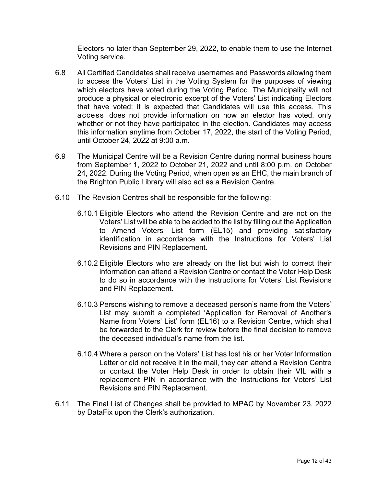Electors no later than September 29, 2022, to enable them to use the Internet Voting service.

- 6.8 All Certified Candidates shall receive usernames and Passwords allowing them to access the Voters' List in the Voting System for the purposes of viewing which electors have voted during the Voting Period. The Municipality will not produce a physical or electronic excerpt of the Voters' List indicating Electors that have voted; it is expected that Candidates will use this access. This access does not provide information on how an elector has voted, only whether or not they have participated in the election. Candidates may access this information anytime from October 17, 2022, the start of the Voting Period, until October 24, 2022 at 9:00 a.m.
- 6.9 The Municipal Centre will be a Revision Centre during normal business hours from September 1, 2022 to October 21, 2022 and until 8:00 p.m. on October 24, 2022. During the Voting Period, when open as an EHC, the main branch of the Brighton Public Library will also act as a Revision Centre.
- 6.10 The Revision Centres shall be responsible for the following:
	- 6.10.1 Eligible Electors who attend the Revision Centre and are not on the Voters' List will be able to be added to the list by filling out the Application to Amend Voters' List form (EL15) and providing satisfactory identification in accordance with the Instructions for Voters' List Revisions and PIN Replacement.
	- 6.10.2 Eligible Electors who are already on the list but wish to correct their information can attend a Revision Centre or contact the Voter Help Desk to do so in accordance with the Instructions for Voters' List Revisions and PIN Replacement.
	- 6.10.3 Persons wishing to remove a deceased person's name from the Voters' List may submit a completed 'Application for Removal of Another's Name from Voters' List' form (EL16) to a Revision Centre, which shall be forwarded to the Clerk for review before the final decision to remove the deceased individual's name from the list.
	- 6.10.4 Where a person on the Voters' List has lost his or her Voter Information Letter or did not receive it in the mail, they can attend a Revision Centre or contact the Voter Help Desk in order to obtain their VIL with a replacement PIN in accordance with the Instructions for Voters' List Revisions and PIN Replacement.
- 6.11 The Final List of Changes shall be provided to MPAC by November 23, 2022 by DataFix upon the Clerk's authorization.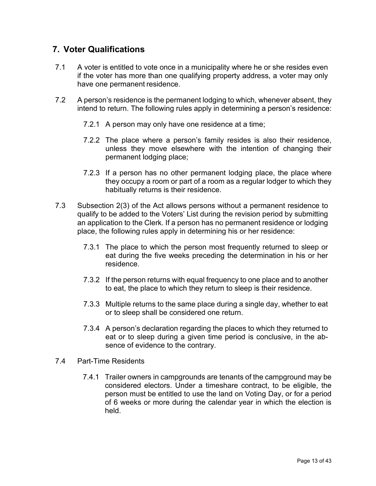# <span id="page-12-0"></span>**7. Voter Qualifications**

- 7.1 A voter is entitled to vote once in a municipality where he or she resides even if the voter has more than one qualifying property address, a voter may only have one permanent residence.
- 7.2 A person's residence is the permanent lodging to which, whenever absent, they intend to return. The following rules apply in determining a person's residence:
	- 7.2.1 A person may only have one residence at a time;
	- 7.2.2 The place where a person's family resides is also their residence, unless they move elsewhere with the intention of changing their permanent lodging place;
	- 7.2.3 If a person has no other permanent lodging place, the place where they occupy a room or part of a room as a regular lodger to which they habitually returns is their residence.
- 7.3 Subsection 2(3) of the Act allows persons without a permanent residence to qualify to be added to the Voters' List during the revision period by submitting an application to the Clerk. If a person has no permanent residence or lodging place, the following rules apply in determining his or her residence:
	- 7.3.1 The place to which the person most frequently returned to sleep or eat during the five weeks preceding the determination in his or her residence.
	- 7.3.2 If the person returns with equal frequency to one place and to another to eat, the place to which they return to sleep is their residence.
	- 7.3.3 Multiple returns to the same place during a single day, whether to eat or to sleep shall be considered one return.
	- 7.3.4 A person's declaration regarding the places to which they returned to eat or to sleep during a given time period is conclusive, in the absence of evidence to the contrary.
- 7.4 Part-Time Residents
	- 7.4.1 Trailer owners in campgrounds are tenants of the campground may be considered electors. Under a timeshare contract, to be eligible, the person must be entitled to use the land on Voting Day, or for a period of 6 weeks or more during the calendar year in which the election is held.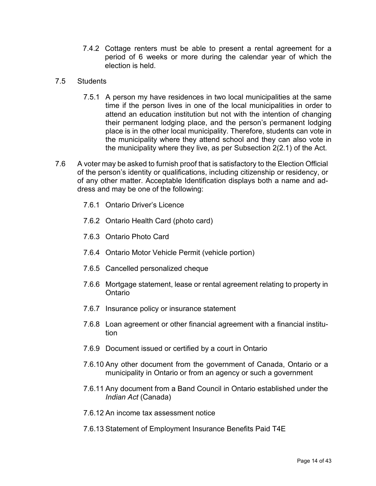7.4.2 Cottage renters must be able to present a rental agreement for a period of 6 weeks or more during the calendar year of which the election is held.

#### 7.5 Students

- 7.5.1 A person my have residences in two local municipalities at the same time if the person lives in one of the local municipalities in order to attend an education institution but not with the intention of changing their permanent lodging place, and the person's permanent lodging place is in the other local municipality. Therefore, students can vote in the municipality where they attend school and they can also vote in the municipality where they live, as per Subsection 2(2.1) of the Act.
- 7.6 A voter may be asked to furnish proof that is satisfactory to the Election Official of the person's identity or qualifications, including citizenship or residency, or of any other matter. Acceptable Identification displays both a name and address and may be one of the following:
	- 7.6.1 Ontario Driver's Licence
	- 7.6.2 Ontario Health Card (photo card)
	- 7.6.3 Ontario Photo Card
	- 7.6.4 Ontario Motor Vehicle Permit (vehicle portion)
	- 7.6.5 Cancelled personalized cheque
	- 7.6.6 Mortgage statement, lease or rental agreement relating to property in Ontario
	- 7.6.7 Insurance policy or insurance statement
	- 7.6.8 Loan agreement or other financial agreement with a financial institution
	- 7.6.9 Document issued or certified by a court in Ontario
	- 7.6.10 Any other document from the government of Canada, Ontario or a municipality in Ontario or from an agency or such a government
	- 7.6.11 Any document from a Band Council in Ontario established under the *Indian Act* (Canada)
	- 7.6.12 An income tax assessment notice
	- 7.6.13 Statement of Employment Insurance Benefits Paid T4E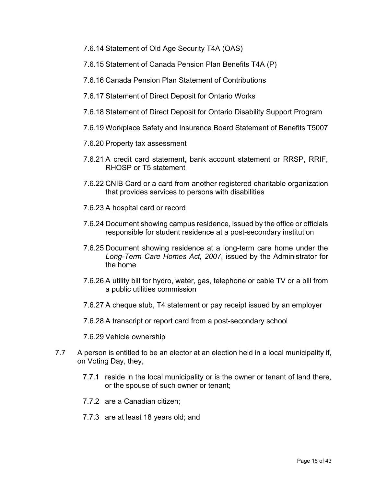- 7.6.14 Statement of Old Age Security T4A (OAS)
- 7.6.15 Statement of Canada Pension Plan Benefits T4A (P)
- 7.6.16 Canada Pension Plan Statement of Contributions
- 7.6.17 Statement of Direct Deposit for Ontario Works
- 7.6.18 Statement of Direct Deposit for Ontario Disability Support Program
- 7.6.19 Workplace Safety and Insurance Board Statement of Benefits T5007
- 7.6.20 Property tax assessment
- 7.6.21 A credit card statement, bank account statement or RRSP, RRIF, RHOSP or T5 statement
- 7.6.22 CNIB Card or a card from another registered charitable organization that provides services to persons with disabilities
- 7.6.23 A hospital card or record
- 7.6.24 Document showing campus residence, issued by the office or officials responsible for student residence at a post-secondary institution
- 7.6.25 Document showing residence at a long-term care home under the *Long-Term Care Homes Act, 2007*, issued by the Administrator for the home
- 7.6.26 A utility bill for hydro, water, gas, telephone or cable TV or a bill from a public utilities commission
- 7.6.27 A cheque stub, T4 statement or pay receipt issued by an employer
- 7.6.28 A transcript or report card from a post-secondary school
- 7.6.29 Vehicle ownership
- 7.7 A person is entitled to be an elector at an election held in a local municipality if, on Voting Day, they,
	- 7.7.1 reside in the local municipality or is the owner or tenant of land there, or the spouse of such owner or tenant;
	- 7.7.2 are a Canadian citizen;
	- 7.7.3 are at least 18 years old; and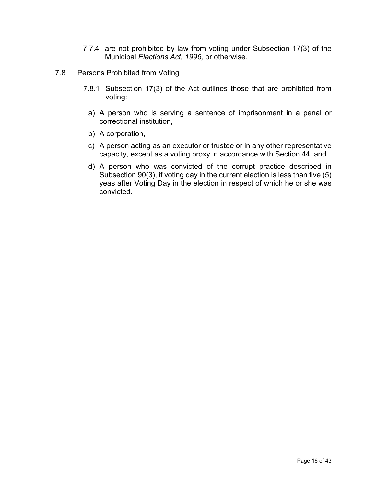- 7.7.4 are not prohibited by law from voting under Subsection 17(3) of the Municipal *Elections Act, 1996,* or otherwise.
- 7.8 Persons Prohibited from Voting
	- 7.8.1 Subsection 17(3) of the Act outlines those that are prohibited from voting:
		- a) A person who is serving a sentence of imprisonment in a penal or correctional institution,
		- b) A corporation,
		- c) A person acting as an executor or trustee or in any other representative capacity, except as a voting proxy in accordance with Section 44, and
		- d) A person who was convicted of the corrupt practice described in Subsection 90(3), if voting day in the current election is less than five (5) yeas after Voting Day in the election in respect of which he or she was convicted.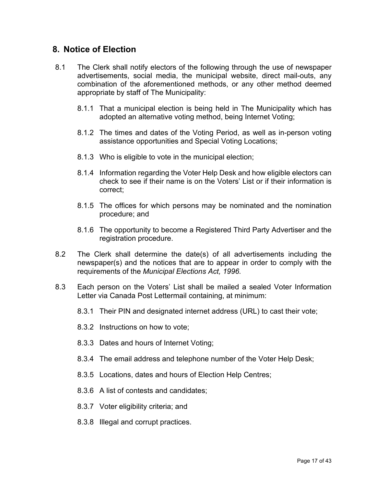#### <span id="page-16-0"></span>**8. Notice of Election**

- 8.1 The Clerk shall notify electors of the following through the use of newspaper advertisements, social media, the municipal website, direct mail-outs, any combination of the aforementioned methods, or any other method deemed appropriate by staff of The Municipality:
	- 8.1.1 That a municipal election is being held in The Municipality which has adopted an alternative voting method, being Internet Voting;
	- 8.1.2 The times and dates of the Voting Period, as well as in-person voting assistance opportunities and Special Voting Locations;
	- 8.1.3 Who is eligible to vote in the municipal election;
	- 8.1.4 Information regarding the Voter Help Desk and how eligible electors can check to see if their name is on the Voters' List or if their information is correct;
	- 8.1.5 The offices for which persons may be nominated and the nomination procedure; and
	- 8.1.6 The opportunity to become a Registered Third Party Advertiser and the registration procedure.
- 8.2 The Clerk shall determine the date(s) of all advertisements including the newspaper(s) and the notices that are to appear in order to comply with the requirements of the *Municipal Elections Act, 1996.*
- 8.3 Each person on the Voters' List shall be mailed a sealed Voter Information Letter via Canada Post Lettermail containing, at minimum:
	- 8.3.1 Their PIN and designated internet address (URL) to cast their vote;
	- 8.3.2 Instructions on how to vote;
	- 8.3.3 Dates and hours of Internet Voting;
	- 8.3.4 The email address and telephone number of the Voter Help Desk;
	- 8.3.5 Locations, dates and hours of Election Help Centres;
	- 8.3.6 A list of contests and candidates;
	- 8.3.7 Voter eligibility criteria; and
	- 8.3.8 Illegal and corrupt practices.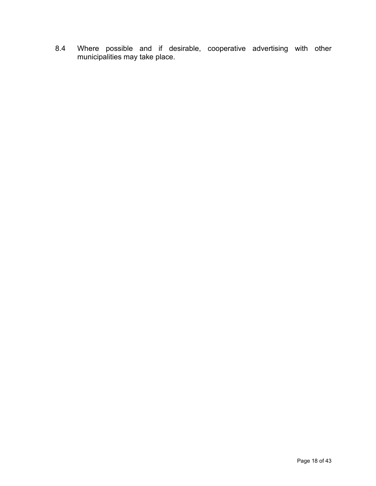8.4 Where possible and if desirable, cooperative advertising with other municipalities may take place.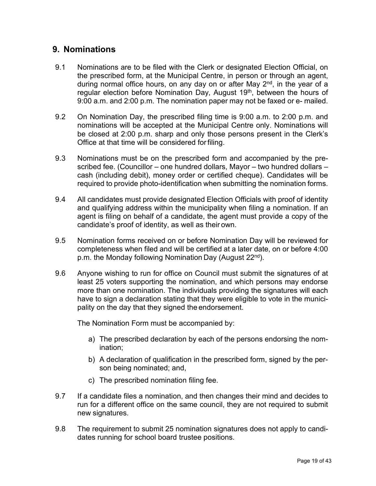### <span id="page-18-0"></span>**9. Nominations**

- 9.1 Nominations are to be filed with the Clerk or designated Election Official, on the prescribed form, at the Municipal Centre, in person or through an agent, during normal office hours, on any day on or after May 2<sup>nd</sup>, in the year of a regular election before Nomination Day, August 19<sup>th</sup>, between the hours of 9:00 a.m. and 2:00 p.m. The nomination paper may not be faxed or e- mailed.
- 9.2 On Nomination Day, the prescribed filing time is 9:00 a.m. to 2:00 p.m. and nominations will be accepted at the Municipal Centre only. Nominations will be closed at 2:00 p.m. sharp and only those persons present in the Clerk's Office at that time will be considered forfiling.
- 9.3 Nominations must be on the prescribed form and accompanied by the prescribed fee. (Councillor – one hundred dollars, Mayor – two hundred dollars – cash (including debit), money order or certified cheque). Candidates will be required to provide photo-identification when submitting the nomination forms.
- 9.4 All candidates must provide designated Election Officials with proof of identity and qualifying address within the municipality when filing a nomination. If an agent is filing on behalf of a candidate, the agent must provide a copy of the candidate's proof of identity, as well as their own.
- 9.5 Nomination forms received on or before Nomination Day will be reviewed for completeness when filed and will be certified at a later date, on or before 4:00 p.m. the Monday following Nomination Day (August 22<sup>nd</sup>).
- 9.6 Anyone wishing to run for office on Council must submit the signatures of at least 25 voters supporting the nomination, and which persons may endorse more than one nomination. The individuals providing the signatures will each have to sign a declaration stating that they were eligible to vote in the municipality on the day that they signed the endorsement.

The Nomination Form must be accompanied by:

- a) The prescribed declaration by each of the persons endorsing the nomination;
- b) A declaration of qualification in the prescribed form, signed by the person being nominated; and,
- c) The prescribed nomination filing fee.
- 9.7 If a candidate files a nomination, and then changes their mind and decides to run for a different office on the same council, they are not required to submit new signatures.
- 9.8 The requirement to submit 25 nomination signatures does not apply to candidates running for school board trustee positions.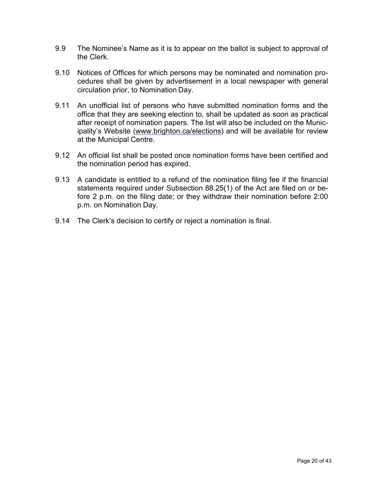- 9.9 The Nominee's Name as it is to appear on the ballot is subject to approval of the Clerk.
- 9.10 Notices of Offices for which persons may be nominated and nomination procedures shall be given by advertisement in a local newspaper with general circulation prior, to Nomination Day.
- 9.11 An unofficial list of persons who have submitted nomination forms and the office that they are seeking election to, shall be updated as soon as practical after receipt of nomination papers. The list will also be included on the Municipality's Website (www.brighton.ca/elections) and will be available for review at the Municipal Centre.
- 9.12 An official list shall be posted once nomination forms have been certified and the nomination period has expired.
- 9.13 A candidate is entitled to a refund of the nomination filing fee if the financial statements required under Subsection 88.25(1) of the Act are filed on or before 2 p.m. on the filing date; or they withdraw their nomination before 2:00 p.m. on Nomination Day.
- 9.14 The Clerk's decision to certify or reject a nomination is final.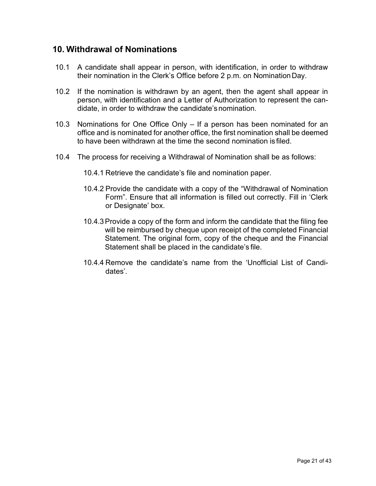#### <span id="page-20-0"></span>**10. Withdrawal of Nominations**

- 10.1 A candidate shall appear in person, with identification, in order to withdraw their nomination in the Clerk's Office before 2 p.m. on NominationDay.
- 10.2 If the nomination is withdrawn by an agent, then the agent shall appear in person, with identification and a Letter of Authorization to represent the candidate, in order to withdraw the candidate's nomination.
- 10.3 Nominations for One Office Only If a person has been nominated for an office and is nominated for another office, the first nomination shall be deemed to have been withdrawn at the time the second nomination is filed.
- 10.4 The process for receiving a Withdrawal of Nomination shall be as follows:
	- 10.4.1 Retrieve the candidate's file and nomination paper.
	- 10.4.2 Provide the candidate with a copy of the "Withdrawal of Nomination Form". Ensure that all information is filled out correctly. Fill in 'Clerk or Designate' box.
	- 10.4.3Provide a copy of the form and inform the candidate that the filing fee will be reimbursed by cheque upon receipt of the completed Financial Statement. The original form, copy of the cheque and the Financial Statement shall be placed in the candidate's file.
	- 10.4.4 Remove the candidate's name from the 'Unofficial List of Candidates'.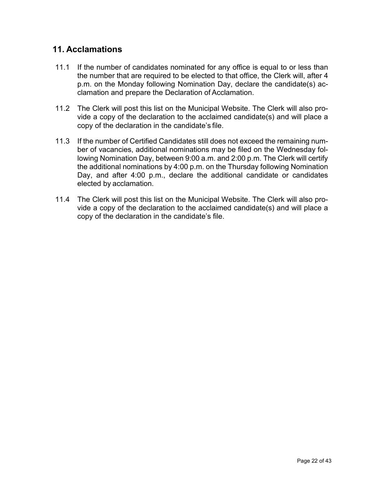# <span id="page-21-0"></span>**11. Acclamations**

- 11.1 If the number of candidates nominated for any office is equal to or less than the number that are required to be elected to that office, the Clerk will, after 4 p.m. on the Monday following Nomination Day, declare the candidate(s) acclamation and prepare the Declaration of Acclamation.
- 11.2 The Clerk will post this list on the Municipal Website. The Clerk will also provide a copy of the declaration to the acclaimed candidate(s) and will place a copy of the declaration in the candidate's file.
- 11.3 If the number of Certified Candidates still does not exceed the remaining number of vacancies, additional nominations may be filed on the Wednesday following Nomination Day, between 9:00 a.m. and 2:00 p.m. The Clerk will certify the additional nominations by 4:00 p.m. on the Thursday following Nomination Day, and after 4:00 p.m., declare the additional candidate or candidates elected by acclamation.
- 11.4 The Clerk will post this list on the Municipal Website. The Clerk will also provide a copy of the declaration to the acclaimed candidate(s) and will place a copy of the declaration in the candidate's file.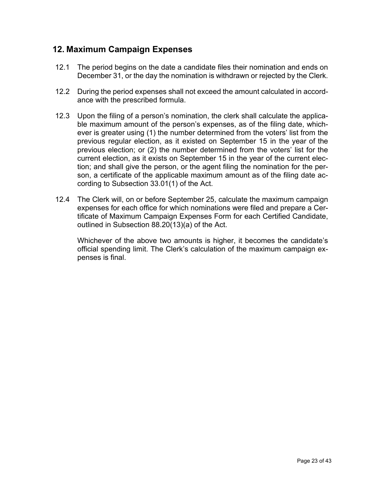### <span id="page-22-0"></span>**12. Maximum Campaign Expenses**

- 12.1 The period begins on the date a candidate files their nomination and ends on December 31, or the day the nomination is withdrawn or rejected by the Clerk.
- 12.2 During the period expenses shall not exceed the amount calculated in accordance with the prescribed formula.
- 12.3 Upon the filing of a person's nomination, the clerk shall calculate the applicable maximum amount of the person's expenses, as of the filing date, whichever is greater using (1) the number determined from the voters' list from the previous regular election, as it existed on September 15 in the year of the previous election; or (2) the number determined from the voters' list for the current election, as it exists on September 15 in the year of the current election; and shall give the person, or the agent filing the nomination for the person, a certificate of the applicable maximum amount as of the filing date according to Subsection 33.01(1) of the Act.
- 12.4 The Clerk will, on or before September 25, calculate the maximum campaign expenses for each office for which nominations were filed and prepare a Certificate of Maximum Campaign Expenses Form for each Certified Candidate, outlined in Subsection 88.20(13)(a) of the Act.

Whichever of the above two amounts is higher, it becomes the candidate's official spending limit. The Clerk's calculation of the maximum campaign expenses is final.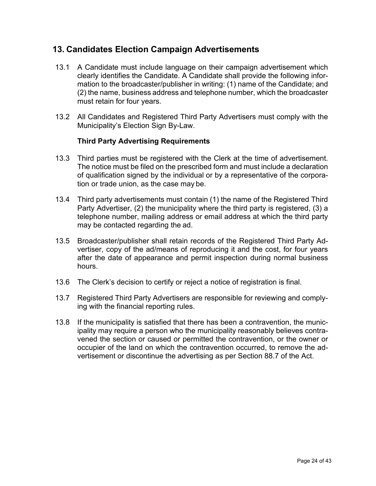#### <span id="page-23-0"></span>**13. Candidates Election Campaign Advertisements**

- 13.1 A Candidate must include language on their campaign advertisement which clearly identifies the Candidate. A Candidate shall provide the following information to the broadcaster/publisher in writing: (1) name of the Candidate; and (2) the name, business address and telephone number, which the broadcaster must retain for four years.
- 13.2 All Candidates and Registered Third Party Advertisers must comply with the Municipality's Election Sign By-Law.

#### **Third Party Advertising Requirements**

- 13.3 Third parties must be registered with the Clerk at the time of advertisement. The notice must be filed on the prescribed form and must include a declaration of qualification signed by the individual or by a representative of the corporation or trade union, as the case may be.
- 13.4 Third party advertisements must contain (1) the name of the Registered Third Party Advertiser, (2) the municipality where the third party is registered, (3) a telephone number, mailing address or email address at which the third party may be contacted regarding the ad.
- 13.5 Broadcaster/publisher shall retain records of the Registered Third Party Advertiser, copy of the ad/means of reproducing it and the cost, for four years after the date of appearance and permit inspection during normal business hours.
- 13.6 The Clerk's decision to certify or reject a notice of registration is final.
- 13.7 Registered Third Party Advertisers are responsible for reviewing and complying with the financial reporting rules.
- 13.8 If the municipality is satisfied that there has been a contravention, the municipality may require a person who the municipality reasonably believes contravened the section or caused or permitted the contravention, or the owner or occupier of the land on which the contravention occurred, to remove the advertisement or discontinue the advertising as per Section 88.7 of the Act.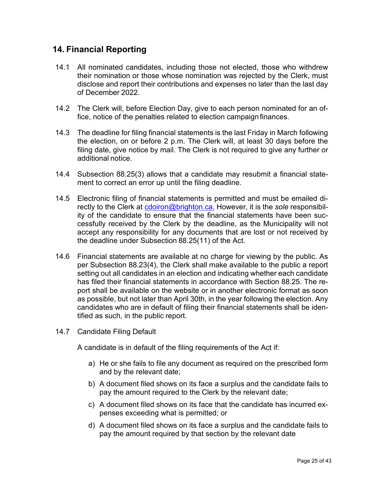## <span id="page-24-0"></span>**14. Financial Reporting**

- 14.1 All nominated candidates, including those not elected, those who withdrew their nomination or those whose nomination was rejected by the Clerk, must disclose and report their contributions and expenses no later than the last day of December 2022.
- 14.2 The Clerk will, before Election Day, give to each person nominated for an office, notice of the penalties related to election campaign finances.
- 14.3 The deadline for filing financial statements is the last Friday in March following the election, on or before 2 p.m. The Clerk will, at least 30 days before the filing date, give notice by mail. The Clerk is not required to give any further or additional notice.
- 14.4 Subsection 88.25(3) allows that a candidate may resubmit a financial statement to correct an error up until the filing deadline.
- 14.5 Electronic filing of financial statements is permitted and must be emailed directly to the Clerk at [cdoiron@brighton.ca.](mailto:jbaranek@twp.stclair.on.ca.) However, it is the *sole* responsibility of the candidate to ensure that the financial statements have been successfully received by the Clerk by the deadline, as the Municipality will not accept any responsibility for any documents that are lost or not received by the deadline under Subsection 88.25(11) of the Act.
- 14.6 Financial statements are available at no charge for viewing by the public. As per Subsection 88.23(4), the Clerk shall make available to the public a report setting out all candidates in an election and indicating whether each candidate has filed their financial statements in accordance with Section 88.25. The report shall be available on the website or in another electronic format as soon as possible, but not later than April 30th, in the year following the election. Any candidates who are in default of filing their financial statements shall be identified as such, in the public report.
- 14.7 Candidate Filing Default

A candidate is in default of the filing requirements of the Act if:

- a) He or she fails to file any document as required on the prescribed form and by the relevant date;
- b) A document filed shows on its face a surplus and the candidate fails to pay the amount required to the Clerk by the relevant date;
- c) A document filed shows on its face that the candidate has incurred expenses exceeding what is permitted; or
- d) A document filed shows on its face a surplus and the candidate fails to pay the amount required by that section by the relevant date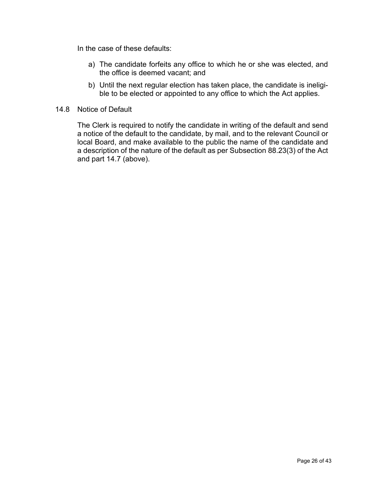In the case of these defaults:

- a) The candidate forfeits any office to which he or she was elected, and the office is deemed vacant; and
- b) Until the next regular election has taken place, the candidate is ineligible to be elected or appointed to any office to which the Act applies.
- 14.8 Notice of Default

The Clerk is required to notify the candidate in writing of the default and send a notice of the default to the candidate, by mail, and to the relevant Council or local Board, and make available to the public the name of the candidate and a description of the nature of the default as per Subsection 88.23(3) of the Act and part 14.7 (above).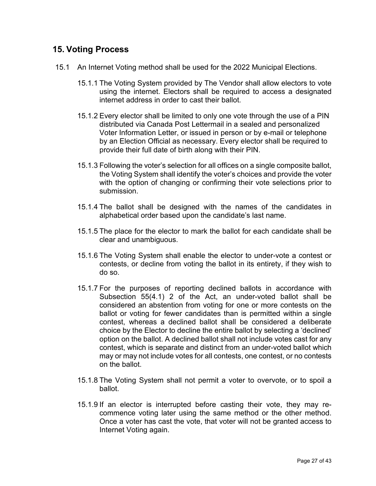#### <span id="page-26-0"></span>**15. Voting Process**

- 15.1 An Internet Voting method shall be used for the 2022 Municipal Elections.
	- 15.1.1 The Voting System provided by The Vendor shall allow electors to vote using the internet. Electors shall be required to access a designated internet address in order to cast their ballot.
	- 15.1.2 Every elector shall be limited to only one vote through the use of a PIN distributed via Canada Post Lettermail in a sealed and personalized Voter Information Letter, or issued in person or by e-mail or telephone by an Election Official as necessary. Every elector shall be required to provide their full date of birth along with their PIN.
	- 15.1.3 Following the voter's selection for all offices on a single composite ballot, the Voting System shall identify the voter's choices and provide the voter with the option of changing or confirming their vote selections prior to submission.
	- 15.1.4 The ballot shall be designed with the names of the candidates in alphabetical order based upon the candidate's last name.
	- 15.1.5 The place for the elector to mark the ballot for each candidate shall be clear and unambiguous.
	- 15.1.6 The Voting System shall enable the elector to under-vote a contest or contests, or decline from voting the ballot in its entirety, if they wish to do so.
	- 15.1.7 For the purposes of reporting declined ballots in accordance with Subsection 55(4.1) 2 of the Act, an under-voted ballot shall be considered an abstention from voting for one or more contests on the ballot or voting for fewer candidates than is permitted within a single contest, whereas a declined ballot shall be considered a deliberate choice by the Elector to decline the entire ballot by selecting a 'declined' option on the ballot. A declined ballot shall not include votes cast for any contest, which is separate and distinct from an under-voted ballot which may or may not include votes for all contests, one contest, or no contests on the ballot.
	- 15.1.8 The Voting System shall not permit a voter to overvote, or to spoil a ballot.
	- 15.1.9 If an elector is interrupted before casting their vote, they may recommence voting later using the same method or the other method. Once a voter has cast the vote, that voter will not be granted access to Internet Voting again.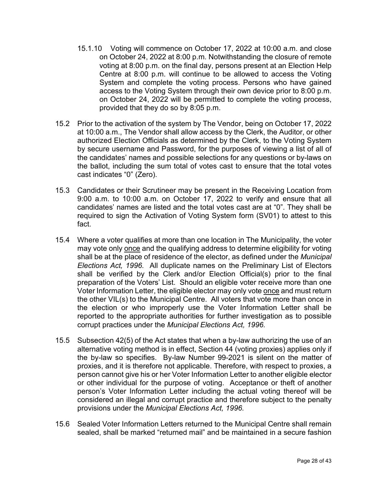- 15.1.10 Voting will commence on October 17, 2022 at 10:00 a.m. and close on October 24, 2022 at 8:00 p.m. Notwithstanding the closure of remote voting at 8:00 p.m. on the final day, persons present at an Election Help Centre at 8:00 p.m. will continue to be allowed to access the Voting System and complete the voting process. Persons who have gained access to the Voting System through their own device prior to 8:00 p.m. on October 24, 2022 will be permitted to complete the voting process, provided that they do so by 8:05 p.m.
- 15.2 Prior to the activation of the system by The Vendor, being on October 17, 2022 at 10:00 a.m., The Vendor shall allow access by the Clerk, the Auditor, or other authorized Election Officials as determined by the Clerk, to the Voting System by secure username and Password, for the purposes of viewing a list of all of the candidates' names and possible selections for any questions or by-laws on the ballot, including the sum total of votes cast to ensure that the total votes cast indicates "0" (Zero).
- 15.3 Candidates or their Scrutineer may be present in the Receiving Location from 9:00 a.m. to 10:00 a.m. on October 17, 2022 to verify and ensure that all candidates' names are listed and the total votes cast are at "0". They shall be required to sign the Activation of Voting System form (SV01) to attest to this fact.
- 15.4 Where a voter qualifies at more than one location in The Municipality, the voter may vote only once and the qualifying address to determine eligibility for voting shall be at the place of residence of the elector, as defined under the *Municipal Elections Act, 1996.* All duplicate names on the Preliminary List of Electors shall be verified by the Clerk and/or Election Official(s) prior to the final preparation of the Voters' List. Should an eligible voter receive more than one Voter Information Letter, the eligible elector may only vote once and must return the other VIL(s) to the Municipal Centre. All voters that vote more than once in the election or who improperly use the Voter Information Letter shall be reported to the appropriate authorities for further investigation as to possible corrupt practices under the *Municipal Elections Act, 1996.*
- 15.5 Subsection 42(5) of the Act states that when a by-law authorizing the use of an alternative voting method is in effect, Section 44 (voting proxies) applies only if the by-law so specifies. By-law Number 99-2021 is silent on the matter of proxies, and it is therefore not applicable. Therefore, with respect to proxies, a person cannot give his or her Voter Information Letter to another eligible elector or other individual for the purpose of voting. Acceptance or theft of another person's Voter Information Letter including the actual voting thereof will be considered an illegal and corrupt practice and therefore subject to the penalty provisions under the *Municipal Elections Act, 1996.*
- 15.6 Sealed Voter Information Letters returned to the Municipal Centre shall remain sealed, shall be marked "returned mail" and be maintained in a secure fashion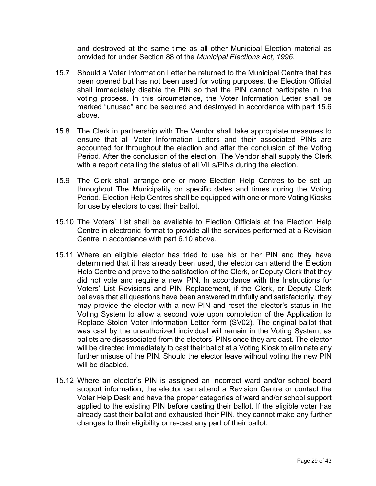and destroyed at the same time as all other Municipal Election material as provided for under Section 88 of the *Municipal Elections Act, 1996.*

- 15.7 Should a Voter Information Letter be returned to the Municipal Centre that has been opened but has not been used for voting purposes, the Election Official shall immediately disable the PIN so that the PIN cannot participate in the voting process. In this circumstance, the Voter Information Letter shall be marked "unused" and be secured and destroyed in accordance with part 15.6 above.
- 15.8 The Clerk in partnership with The Vendor shall take appropriate measures to ensure that all Voter Information Letters and their associated PINs are accounted for throughout the election and after the conclusion of the Voting Period. After the conclusion of the election, The Vendor shall supply the Clerk with a report detailing the status of all VILs/PINs during the election.
- 15.9 The Clerk shall arrange one or more Election Help Centres to be set up throughout The Municipality on specific dates and times during the Voting Period. Election Help Centres shall be equipped with one or more Voting Kiosks for use by electors to cast their ballot.
- 15.10 The Voters' List shall be available to Election Officials at the Election Help Centre in electronic format to provide all the services performed at a Revision Centre in accordance with part 6.10 above.
- 15.11 Where an eligible elector has tried to use his or her PIN and they have determined that it has already been used, the elector can attend the Election Help Centre and prove to the satisfaction of the Clerk, or Deputy Clerk that they did not vote and require a new PIN. In accordance with the Instructions for Voters' List Revisions and PIN Replacement, if the Clerk, or Deputy Clerk believes that all questions have been answered truthfully and satisfactorily, they may provide the elector with a new PIN and reset the elector's status in the Voting System to allow a second vote upon completion of the Application to Replace Stolen Voter Information Letter form (SV02). The original ballot that was cast by the unauthorized individual will remain in the Voting System, as ballots are disassociated from the electors' PINs once they are cast. The elector will be directed immediately to cast their ballot at a Voting Kiosk to eliminate any further misuse of the PIN. Should the elector leave without voting the new PIN will be disabled.
- 15.12 Where an elector's PIN is assigned an incorrect ward and/or school board support information, the elector can attend a Revision Centre or contact the Voter Help Desk and have the proper categories of ward and/or school support applied to the existing PIN before casting their ballot. If the eligible voter has already cast their ballot and exhausted their PIN, they cannot make any further changes to their eligibility or re-cast any part of their ballot.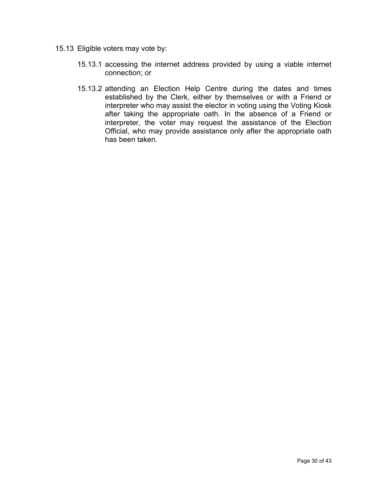- 15.13 Eligible voters may vote by:
	- 15.13.1 accessing the internet address provided by using a viable internet connection; or
	- 15.13.2 attending an Election Help Centre during the dates and times established by the Clerk, either by themselves or with a Friend or interpreter who may assist the elector in voting using the Voting Kiosk after taking the appropriate oath. In the absence of a Friend or interpreter, the voter may request the assistance of the Election Official, who may provide assistance only after the appropriate oath has been taken.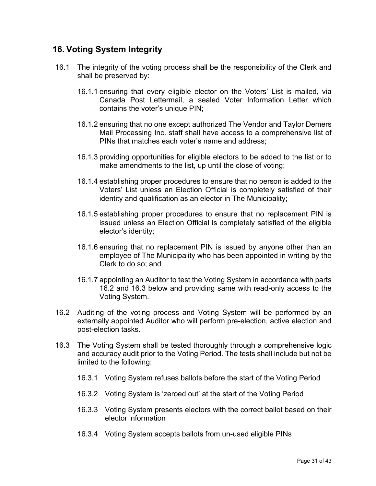#### <span id="page-30-0"></span>**16. Voting System Integrity**

- 16.1 The integrity of the voting process shall be the responsibility of the Clerk and shall be preserved by:
	- 16.1.1 ensuring that every eligible elector on the Voters' List is mailed, via Canada Post Lettermail, a sealed Voter Information Letter which contains the voter's unique PIN;
	- 16.1.2 ensuring that no one except authorized The Vendor and Taylor Demers Mail Processing Inc. staff shall have access to a comprehensive list of PINs that matches each voter's name and address;
	- 16.1.3 providing opportunities for eligible electors to be added to the list or to make amendments to the list, up until the close of voting;
	- 16.1.4 establishing proper procedures to ensure that no person is added to the Voters' List unless an Election Official is completely satisfied of their identity and qualification as an elector in The Municipality;
	- 16.1.5 establishing proper procedures to ensure that no replacement PIN is issued unless an Election Official is completely satisfied of the eligible elector's identity;
	- 16.1.6 ensuring that no replacement PIN is issued by anyone other than an employee of The Municipality who has been appointed in writing by the Clerk to do so; and
	- 16.1.7 appointing an Auditor to test the Voting System in accordance with parts 16.2 and 16.3 below and providing same with read-only access to the Voting System.
- 16.2 Auditing of the voting process and Voting System will be performed by an externally appointed Auditor who will perform pre-election, active election and post-election tasks.
- 16.3 The Voting System shall be tested thoroughly through a comprehensive logic and accuracy audit prior to the Voting Period. The tests shall include but not be limited to the following:
	- 16.3.1 Voting System refuses ballots before the start of the Voting Period
	- 16.3.2 Voting System is 'zeroed out' at the start of the Voting Period
	- 16.3.3 Voting System presents electors with the correct ballot based on their elector information
	- 16.3.4 Voting System accepts ballots from un-used eligible PINs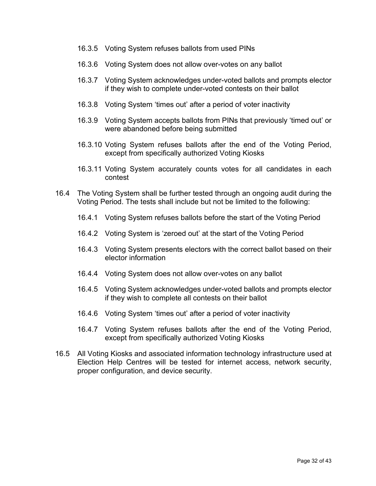- 16.3.5 Voting System refuses ballots from used PINs
- 16.3.6 Voting System does not allow over-votes on any ballot
- 16.3.7 Voting System acknowledges under-voted ballots and prompts elector if they wish to complete under-voted contests on their ballot
- 16.3.8 Voting System 'times out' after a period of voter inactivity
- 16.3.9 Voting System accepts ballots from PINs that previously 'timed out' or were abandoned before being submitted
- 16.3.10 Voting System refuses ballots after the end of the Voting Period, except from specifically authorized Voting Kiosks
- 16.3.11 Voting System accurately counts votes for all candidates in each contest
- 16.4 The Voting System shall be further tested through an ongoing audit during the Voting Period. The tests shall include but not be limited to the following:
	- 16.4.1 Voting System refuses ballots before the start of the Voting Period
	- 16.4.2 Voting System is 'zeroed out' at the start of the Voting Period
	- 16.4.3 Voting System presents electors with the correct ballot based on their elector information
	- 16.4.4 Voting System does not allow over-votes on any ballot
	- 16.4.5 Voting System acknowledges under-voted ballots and prompts elector if they wish to complete all contests on their ballot
	- 16.4.6 Voting System 'times out' after a period of voter inactivity
	- 16.4.7 Voting System refuses ballots after the end of the Voting Period, except from specifically authorized Voting Kiosks
- 16.5 All Voting Kiosks and associated information technology infrastructure used at Election Help Centres will be tested for internet access, network security, proper configuration, and device security.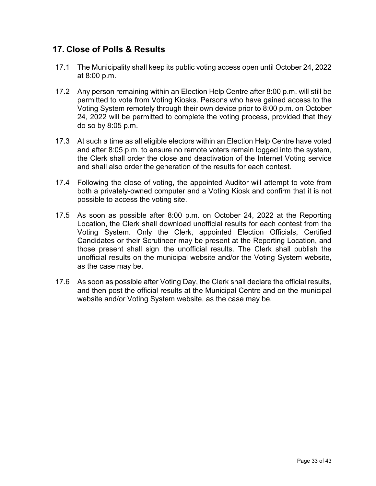## <span id="page-32-0"></span>**17. Close of Polls & Results**

- 17.1 The Municipality shall keep its public voting access open until October 24, 2022 at 8:00 p.m.
- 17.2 Any person remaining within an Election Help Centre after 8:00 p.m. will still be permitted to vote from Voting Kiosks. Persons who have gained access to the Voting System remotely through their own device prior to 8:00 p.m. on October 24, 2022 will be permitted to complete the voting process, provided that they do so by 8:05 p.m.
- 17.3 At such a time as all eligible electors within an Election Help Centre have voted and after 8:05 p.m. to ensure no remote voters remain logged into the system, the Clerk shall order the close and deactivation of the Internet Voting service and shall also order the generation of the results for each contest.
- 17.4 Following the close of voting, the appointed Auditor will attempt to vote from both a privately-owned computer and a Voting Kiosk and confirm that it is not possible to access the voting site.
- 17.5 As soon as possible after 8:00 p.m. on October 24, 2022 at the Reporting Location, the Clerk shall download unofficial results for each contest from the Voting System. Only the Clerk, appointed Election Officials, Certified Candidates or their Scrutineer may be present at the Reporting Location, and those present shall sign the unofficial results. The Clerk shall publish the unofficial results on the municipal website and/or the Voting System website, as the case may be.
- 17.6 As soon as possible after Voting Day, the Clerk shall declare the official results, and then post the official results at the Municipal Centre and on the municipal website and/or Voting System website, as the case may be.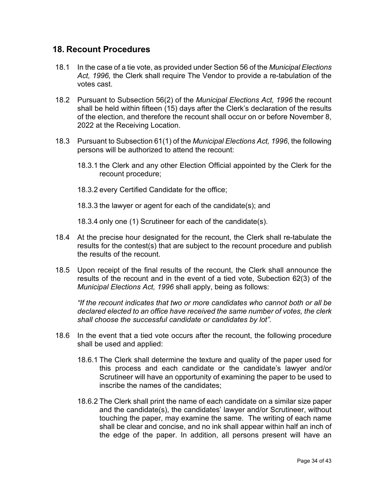#### <span id="page-33-0"></span>**18. Recount Procedures**

- 18.1 In the case of a tie vote, as provided under Section 56 of the *Municipal Elections Act, 1996,* the Clerk shall require The Vendor to provide a re-tabulation of the votes cast.
- 18.2 Pursuant to Subsection 56(2) of the *Municipal Elections Act, 1996* the recount shall be held within fifteen (15) days after the Clerk's declaration of the results of the election, and therefore the recount shall occur on or before November 8, 2022 at the Receiving Location.
- 18.3 Pursuant to Subsection 61(1) of the *Municipal Elections Act, 1996*, the following persons will be authorized to attend the recount:
	- 18.3.1 the Clerk and any other Election Official appointed by the Clerk for the recount procedure;
	- 18.3.2 every Certified Candidate for the office;
	- 18.3.3 the lawyer or agent for each of the candidate(s); and

18.3.4 only one (1) Scrutineer for each of the candidate(s).

- 18.4 At the precise hour designated for the recount, the Clerk shall re-tabulate the results for the contest(s) that are subject to the recount procedure and publish the results of the recount.
- 18.5 Upon receipt of the final results of the recount, the Clerk shall announce the results of the recount and in the event of a tied vote, Subection 62(3) of the *Municipal Elections Act, 1996* shall apply, being as follows:

*"If the recount indicates that two or more candidates who cannot both or all be declared elected to an office have received the same number of votes, the clerk shall choose the successful candidate or candidates by lot".*

- 18.6 In the event that a tied vote occurs after the recount, the following procedure shall be used and applied:
	- 18.6.1 The Clerk shall determine the texture and quality of the paper used for this process and each candidate or the candidate's lawyer and/or Scrutineer will have an opportunity of examining the paper to be used to inscribe the names of the candidates;
	- 18.6.2 The Clerk shall print the name of each candidate on a similar size paper and the candidate(s), the candidates' lawyer and/or Scrutineer, without touching the paper, may examine the same. The writing of each name shall be clear and concise, and no ink shall appear within half an inch of the edge of the paper. In addition, all persons present will have an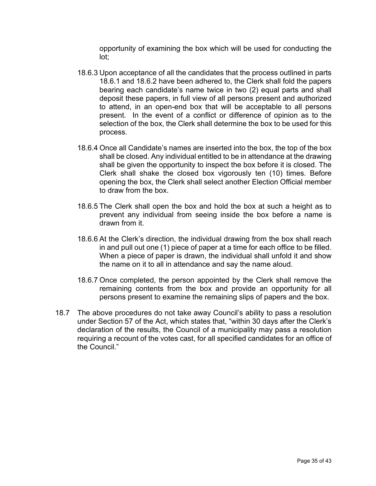opportunity of examining the box which will be used for conducting the lot;

- 18.6.3 Upon acceptance of all the candidates that the process outlined in parts 18.6.1 and 18.6.2 have been adhered to, the Clerk shall fold the papers bearing each candidate's name twice in two (2) equal parts and shall deposit these papers, in full view of all persons present and authorized to attend, in an open-end box that will be acceptable to all persons present. In the event of a conflict or difference of opinion as to the selection of the box, the Clerk shall determine the box to be used for this process.
- 18.6.4 Once all Candidate's names are inserted into the box, the top of the box shall be closed. Any individual entitled to be in attendance at the drawing shall be given the opportunity to inspect the box before it is closed. The Clerk shall shake the closed box vigorously ten (10) times. Before opening the box, the Clerk shall select another Election Official member to draw from the box.
- 18.6.5 The Clerk shall open the box and hold the box at such a height as to prevent any individual from seeing inside the box before a name is drawn from it.
- 18.6.6 At the Clerk's direction, the individual drawing from the box shall reach in and pull out one (1) piece of paper at a time for each office to be filled. When a piece of paper is drawn, the individual shall unfold it and show the name on it to all in attendance and say the name aloud.
- 18.6.7 Once completed, the person appointed by the Clerk shall remove the remaining contents from the box and provide an opportunity for all persons present to examine the remaining slips of papers and the box.
- 18.7 The above procedures do not take away Council's ability to pass a resolution under Section 57 of the Act, which states that, "within 30 days after the Clerk's declaration of the results, the Council of a municipality may pass a resolution requiring a recount of the votes cast, for all specified candidates for an office of the Council."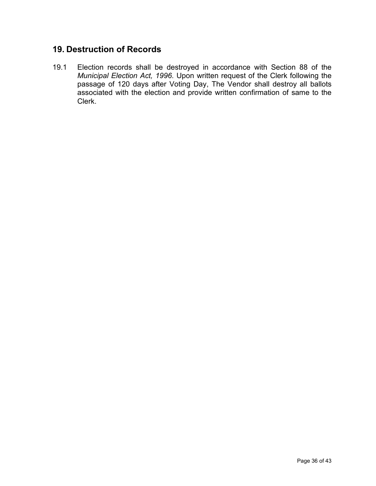# <span id="page-35-0"></span>**19. Destruction of Records**

19.1 Election records shall be destroyed in accordance with Section 88 of the *Municipal Election Act, 1996*. Upon written request of the Clerk following the passage of 120 days after Voting Day, The Vendor shall destroy all ballots associated with the election and provide written confirmation of same to the Clerk.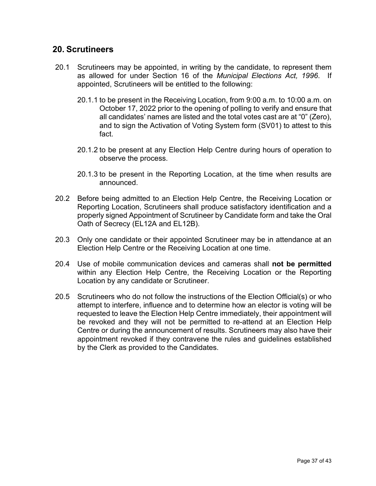#### <span id="page-36-0"></span>**20. Scrutineers**

- 20.1 Scrutineers may be appointed, in writing by the candidate, to represent them as allowed for under Section 16 of the *Municipal Elections Act, 1996*. If appointed, Scrutineers will be entitled to the following:
	- 20.1.1 to be present in the Receiving Location, from 9:00 a.m. to 10:00 a.m. on October 17, 2022 prior to the opening of polling to verify and ensure that all candidates' names are listed and the total votes cast are at "0" (Zero), and to sign the Activation of Voting System form (SV01) to attest to this fact.
	- 20.1.2 to be present at any Election Help Centre during hours of operation to observe the process.
	- 20.1.3 to be present in the Reporting Location, at the time when results are announced.
- 20.2 Before being admitted to an Election Help Centre, the Receiving Location or Reporting Location, Scrutineers shall produce satisfactory identification and a properly signed Appointment of Scrutineer by Candidate form and take the Oral Oath of Secrecy (EL12A and EL12B).
- 20.3 Only one candidate or their appointed Scrutineer may be in attendance at an Election Help Centre or the Receiving Location at one time.
- 20.4 Use of mobile communication devices and cameras shall **not be permitted** within any Election Help Centre, the Receiving Location or the Reporting Location by any candidate or Scrutineer.
- 20.5 Scrutineers who do not follow the instructions of the Election Official(s) or who attempt to interfere, influence and to determine how an elector is voting will be requested to leave the Election Help Centre immediately, their appointment will be revoked and they will not be permitted to re-attend at an Election Help Centre or during the announcement of results. Scrutineers may also have their appointment revoked if they contravene the rules and guidelines established by the Clerk as provided to the Candidates.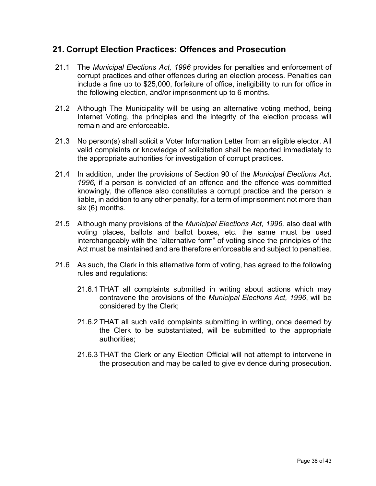#### <span id="page-37-0"></span>**21. Corrupt Election Practices: Offences and Prosecution**

- 21.1 The *Municipal Elections Act, 1996* provides for penalties and enforcement of corrupt practices and other offences during an election process. Penalties can include a fine up to \$25,000, forfeiture of office, ineligibility to run for office in the following election, and/or imprisonment up to 6 months.
- 21.2 Although The Municipality will be using an alternative voting method, being Internet Voting, the principles and the integrity of the election process will remain and are enforceable.
- 21.3 No person(s) shall solicit a Voter Information Letter from an eligible elector. All valid complaints or knowledge of solicitation shall be reported immediately to the appropriate authorities for investigation of corrupt practices.
- 21.4 In addition, under the provisions of Section 90 of the *Municipal Elections Act, 1996,* if a person is convicted of an offence and the offence was committed knowingly, the offence also constitutes a corrupt practice and the person is liable, in addition to any other penalty, for a term of imprisonment not more than six (6) months.
- 21.5 Although many provisions of the *Municipal Elections Act, 1996,* also deal with voting places, ballots and ballot boxes, etc. the same must be used interchangeably with the "alternative form" of voting since the principles of the Act must be maintained and are therefore enforceable and subject to penalties.
- 21.6 As such, the Clerk in this alternative form of voting, has agreed to the following rules and regulations:
	- 21.6.1 THAT all complaints submitted in writing about actions which may contravene the provisions of the *Municipal Elections Act, 1996*, will be considered by the Clerk;
	- 21.6.2 THAT all such valid complaints submitting in writing, once deemed by the Clerk to be substantiated, will be submitted to the appropriate authorities;
	- 21.6.3 THAT the Clerk or any Election Official will not attempt to intervene in the prosecution and may be called to give evidence during prosecution.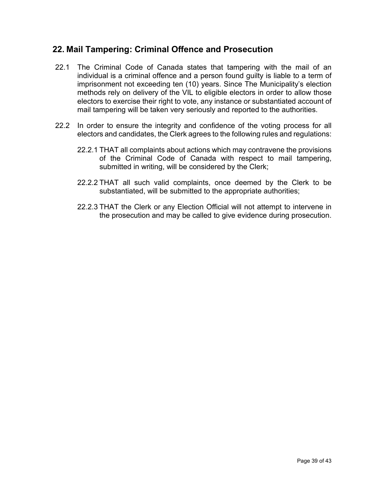#### <span id="page-38-0"></span>**22. Mail Tampering: Criminal Offence and Prosecution**

- 22.1 The Criminal Code of Canada states that tampering with the mail of an individual is a criminal offence and a person found guilty is liable to a term of imprisonment not exceeding ten (10) years. Since The Municipality's election methods rely on delivery of the VIL to eligible electors in order to allow those electors to exercise their right to vote, any instance or substantiated account of mail tampering will be taken very seriously and reported to the authorities.
- 22.2 In order to ensure the integrity and confidence of the voting process for all electors and candidates, the Clerk agrees to the following rules and regulations:
	- 22.2.1 THAT all complaints about actions which may contravene the provisions of the Criminal Code of Canada with respect to mail tampering, submitted in writing, will be considered by the Clerk;
	- 22.2.2 THAT all such valid complaints, once deemed by the Clerk to be substantiated, will be submitted to the appropriate authorities;
	- 22.2.3 THAT the Clerk or any Election Official will not attempt to intervene in the prosecution and may be called to give evidence during prosecution.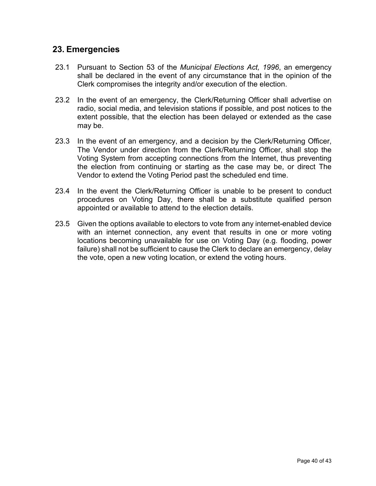#### <span id="page-39-0"></span>**23. Emergencies**

- 23.1 Pursuant to Section 53 of the *Municipal Elections Act, 1996*, an emergency shall be declared in the event of any circumstance that in the opinion of the Clerk compromises the integrity and/or execution of the election.
- 23.2 In the event of an emergency, the Clerk/Returning Officer shall advertise on radio, social media, and television stations if possible, and post notices to the extent possible, that the election has been delayed or extended as the case may be.
- 23.3 In the event of an emergency, and a decision by the Clerk/Returning Officer, The Vendor under direction from the Clerk/Returning Officer, shall stop the Voting System from accepting connections from the Internet, thus preventing the election from continuing or starting as the case may be, or direct The Vendor to extend the Voting Period past the scheduled end time.
- 23.4 In the event the Clerk/Returning Officer is unable to be present to conduct procedures on Voting Day, there shall be a substitute qualified person appointed or available to attend to the election details.
- 23.5 Given the options available to electors to vote from any internet-enabled device with an internet connection, any event that results in one or more voting locations becoming unavailable for use on Voting Day (e.g. flooding, power failure) shall not be sufficient to cause the Clerk to declare an emergency, delay the vote, open a new voting location, or extend the voting hours.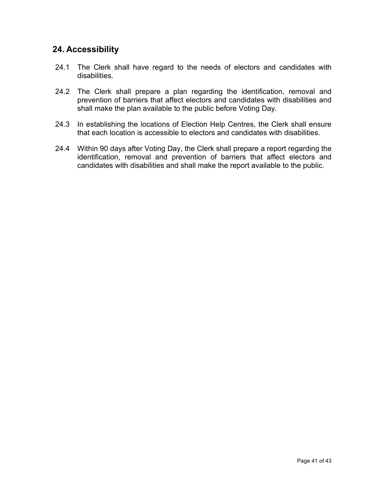### <span id="page-40-0"></span>**24. Accessibility**

- 24.1 The Clerk shall have regard to the needs of electors and candidates with disabilities.
- 24.2 The Clerk shall prepare a plan regarding the identification, removal and prevention of barriers that affect electors and candidates with disabilities and shall make the plan available to the public before Voting Day.
- 24.3 In establishing the locations of Election Help Centres, the Clerk shall ensure that each location is accessible to electors and candidates with disabilities.
- 24.4 Within 90 days after Voting Day, the Clerk shall prepare a report regarding the identification, removal and prevention of barriers that affect electors and candidates with disabilities and shall make the report available to the public.